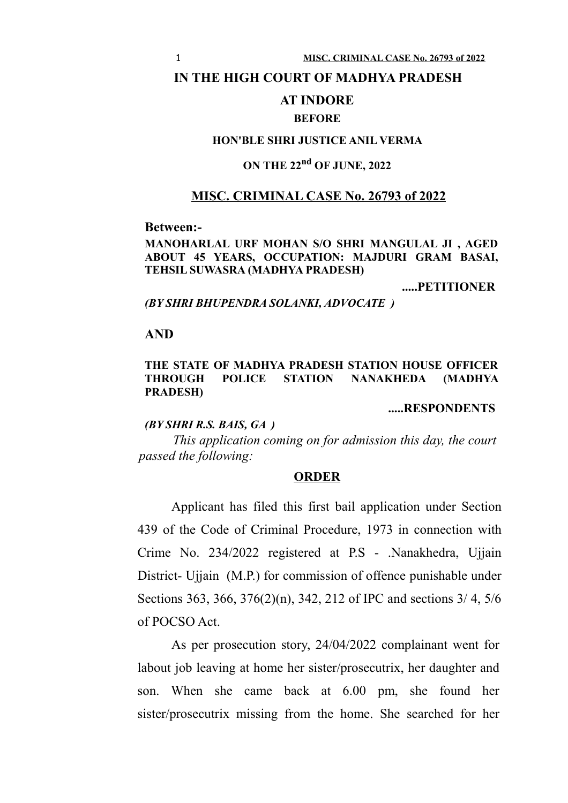# **IN THE HIGH COURT OF MADHYA PRADESH**

# **AT INDORE**

### **BEFORE**

# **HON'BLE SHRI JUSTICE ANIL VERMA**

# **ON THE 22nd OF JUNE, 2022**

# **MISC. CRIMINAL CASE No. 26793 of 2022**

#### **Between:-**

#### **MANOHARLAL URF MOHAN S/O SHRI MANGULAL JI , AGED ABOUT 45 YEARS, OCCUPATION: MAJDURI GRAM BASAI, TEHSIL SUWASRA (MADHYA PRADESH)**

**.....PETITIONER**

#### *(BY SHRI BHUPENDRA SOLANKI, ADVOCATE )*

#### **AND**

### **THE STATE OF MADHYA PRADESH STATION HOUSE OFFICER THROUGH POLICE STATION NANAKHEDA (MADHYA PRADESH)**

**.....RESPONDENTS**

# *(BY SHRI R.S. BAIS, GA )*

*This application coming on for admission this day, the court passed the following:*

#### **ORDER**

Applicant has filed this first bail application under Section 439 of the Code of Criminal Procedure, 1973 in connection with Crime No. 234/2022 registered at P.S - .Nanakhedra, Ujjain District- Ujjain (M.P.) for commission of offence punishable under Sections 363, 366, 376(2)(n), 342, 212 of IPC and sections 3/ 4, 5/6 of POCSO Act.

As per prosecution story, 24/04/2022 complainant went for labout job leaving at home her sister/prosecutrix, her daughter and son. When she came back at 6.00 pm, she found her sister/prosecutrix missing from the home. She searched for her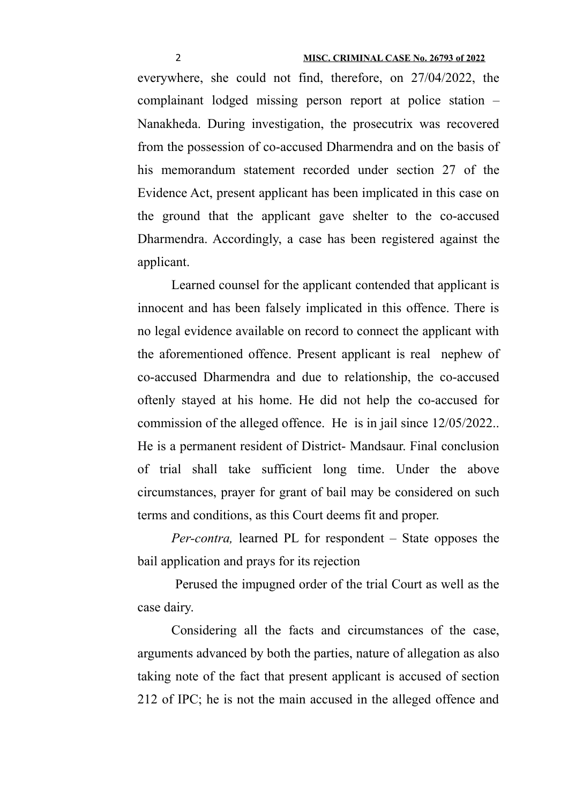everywhere, she could not find, therefore, on 27/04/2022, the complainant lodged missing person report at police station – Nanakheda. During investigation, the prosecutrix was recovered from the possession of co-accused Dharmendra and on the basis of his memorandum statement recorded under section 27 of the Evidence Act, present applicant has been implicated in this case on the ground that the applicant gave shelter to the co-accused Dharmendra. Accordingly, a case has been registered against the applicant.

Learned counsel for the applicant contended that applicant is innocent and has been falsely implicated in this offence. There is no legal evidence available on record to connect the applicant with the aforementioned offence. Present applicant is real nephew of co-accused Dharmendra and due to relationship, the co-accused oftenly stayed at his home. He did not help the co-accused for commission of the alleged offence. He is in jail since 12/05/2022.. He is a permanent resident of District- Mandsaur. Final conclusion of trial shall take sufficient long time. Under the above circumstances, prayer for grant of bail may be considered on such terms and conditions, as this Court deems fit and proper.

*Per-contra,* learned PL for respondent – State opposes the bail application and prays for its rejection

 Perused the impugned order of the trial Court as well as the case dairy.

Considering all the facts and circumstances of the case, arguments advanced by both the parties, nature of allegation as also taking note of the fact that present applicant is accused of section 212 of IPC; he is not the main accused in the alleged offence and